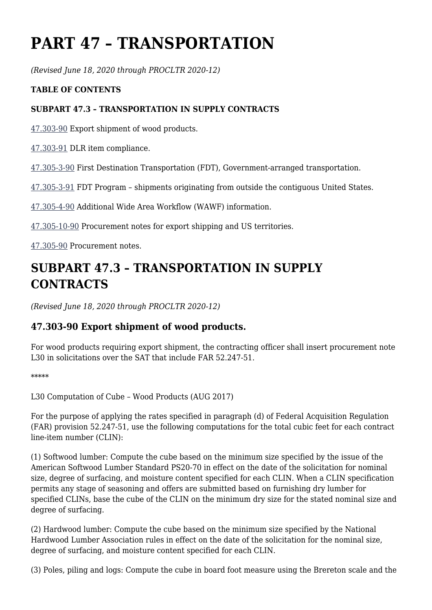# **PART 47 – TRANSPORTATION**

*(Revised June 18, 2020 through PROCLTR 2020-12)*

#### **TABLE OF CONTENTS**

#### **SUBPART 47.3 – TRANSPORTATION IN SUPPLY CONTRACTS**

[47.303-90](https://www.acquisition.gov/%5Brp:link:dlad-part-47%5D#P47_303_90) Export shipment of wood products.

[47.303-91](https://www.acquisition.gov/%5Brp:link:dlad-part-47%5D#P47_303_91) DLR item compliance.

[47.305-3-90](https://www.acquisition.gov/%5Brp:link:dlad-part-47%5D#P47_305_3_90) First Destination Transportation (FDT), Government-arranged transportation.

[47.305-3-91](https://www.acquisition.gov/%5Brp:link:dlad-part-47%5D#P47_305_3_91) FDT Program – shipments originating from outside the contiguous United States.

[47.305-4-90](https://www.acquisition.gov/%5Brp:link:dlad-part-47%5D#P47_305_4_90) Additional Wide Area Workflow (WAWF) information.

[47.305-10-90](https://www.acquisition.gov/%5Brp:link:dlad-part-47%5D#P47_305_10_90) Procurement notes for export shipping and US territories.

[47.305-90](https://www.acquisition.gov/%5Brp:link:dlad-part-47%5D#P47_305_90) Procurement notes.

## **SUBPART 47.3 – TRANSPORTATION IN SUPPLY CONTRACTS**

*(Revised June 18, 2020 through PROCLTR 2020-12)*

### **47.303-90 Export shipment of wood products.**

For wood products requiring export shipment, the contracting officer shall insert procurement note L30 in solicitations over the SAT that include FAR 52.247-51.

\*\*\*\*\*

L30 Computation of Cube – Wood Products (AUG 2017)

For the purpose of applying the rates specified in paragraph (d) of Federal Acquisition Regulation (FAR) provision 52.247-51, use the following computations for the total cubic feet for each contract line-item number (CLIN):

(1) Softwood lumber: Compute the cube based on the minimum size specified by the issue of the American Softwood Lumber Standard PS20-70 in effect on the date of the solicitation for nominal size, degree of surfacing, and moisture content specified for each CLIN. When a CLIN specification permits any stage of seasoning and offers are submitted based on furnishing dry lumber for specified CLINs, base the cube of the CLIN on the minimum dry size for the stated nominal size and degree of surfacing.

(2) Hardwood lumber: Compute the cube based on the minimum size specified by the National Hardwood Lumber Association rules in effect on the date of the solicitation for the nominal size, degree of surfacing, and moisture content specified for each CLIN.

(3) Poles, piling and logs: Compute the cube in board foot measure using the Brereton scale and the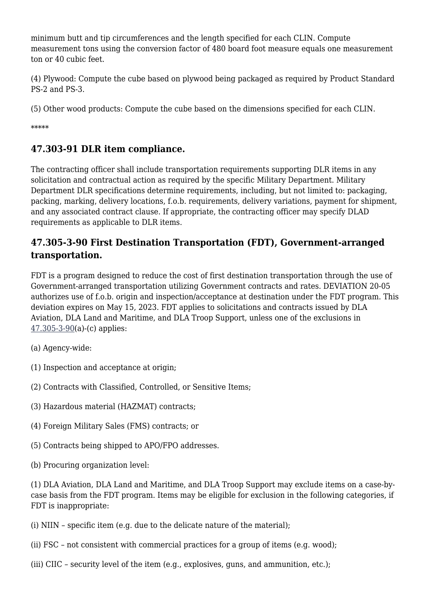minimum butt and tip circumferences and the length specified for each CLIN. Compute measurement tons using the conversion factor of 480 board foot measure equals one measurement ton or 40 cubic feet.

(4) Plywood: Compute the cube based on plywood being packaged as required by Product Standard PS-2 and PS-3.

(5) Other wood products: Compute the cube based on the dimensions specified for each CLIN.

\*\*\*\*\*

## **47.303-91 DLR item compliance.**

The contracting officer shall include transportation requirements supporting DLR items in any solicitation and contractual action as required by the specific Military Department. Military Department DLR specifications determine requirements, including, but not limited to: packaging, packing, marking, delivery locations, f.o.b. requirements, delivery variations, payment for shipment, and any associated contract clause. If appropriate, the contracting officer may specify DLAD requirements as applicable to DLR items.

## **47.305-3-90 First Destination Transportation (FDT), Government-arranged transportation.**

FDT is a program designed to reduce the cost of first destination transportation through the use of Government-arranged transportation utilizing Government contracts and rates. DEVIATION 20-05 authorizes use of f.o.b. origin and inspection/acceptance at destination under the FDT program. This deviation expires on May 15, 2023. FDT applies to solicitations and contracts issued by DLA Aviation, DLA Land and Maritime, and DLA Troop Support, unless one of the exclusions in [47.305-3-90\(](https://www.acquisition.gov/%5Brp:link:dlad-part-47%5D#P47_305_3_90)a)-(c) applies:

- (a) Agency-wide:
- (1) Inspection and acceptance at origin;
- (2) Contracts with Classified, Controlled, or Sensitive Items;
- (3) Hazardous material (HAZMAT) contracts;
- (4) Foreign Military Sales (FMS) contracts; or
- (5) Contracts being shipped to APO/FPO addresses.
- (b) Procuring organization level:

(1) DLA Aviation, DLA Land and Maritime, and DLA Troop Support may exclude items on a case-bycase basis from the FDT program. Items may be eligible for exclusion in the following categories, if FDT is inappropriate:

- (i) NIIN specific item (e.g. due to the delicate nature of the material);
- (ii) FSC not consistent with commercial practices for a group of items (e.g. wood);
- (iii) CIIC security level of the item (e.g., explosives, guns, and ammunition, etc.);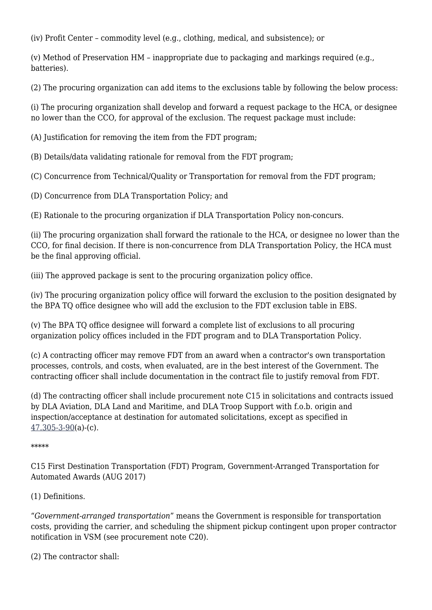(iv) Profit Center – commodity level (e.g., clothing, medical, and subsistence); or

(v) Method of Preservation HM – inappropriate due to packaging and markings required (e.g., batteries).

(2) The procuring organization can add items to the exclusions table by following the below process:

(i) The procuring organization shall develop and forward a request package to the HCA, or designee no lower than the CCO, for approval of the exclusion. The request package must include:

(A) Justification for removing the item from the FDT program;

(B) Details/data validating rationale for removal from the FDT program;

(C) Concurrence from Technical/Quality or Transportation for removal from the FDT program;

(D) Concurrence from DLA Transportation Policy; and

(E) Rationale to the procuring organization if DLA Transportation Policy non-concurs.

(ii) The procuring organization shall forward the rationale to the HCA, or designee no lower than the CCO, for final decision. If there is non-concurrence from DLA Transportation Policy, the HCA must be the final approving official.

(iii) The approved package is sent to the procuring organization policy office.

(iv) The procuring organization policy office will forward the exclusion to the position designated by the BPA TQ office designee who will add the exclusion to the FDT exclusion table in EBS.

(v) The BPA TQ office designee will forward a complete list of exclusions to all procuring organization policy offices included in the FDT program and to DLA Transportation Policy.

(c) A contracting officer may remove FDT from an award when a contractor's own transportation processes, controls, and costs, when evaluated, are in the best interest of the Government. The contracting officer shall include documentation in the contract file to justify removal from FDT.

(d) The contracting officer shall include procurement note C15 in solicitations and contracts issued by DLA Aviation, DLA Land and Maritime, and DLA Troop Support with f.o.b. origin and inspection/acceptance at destination for automated solicitations, except as specified in  $47.305 - 3 - 90(a)$ -(c).

\*\*\*\*\*

C15 First Destination Transportation (FDT) Program, Government-Arranged Transportation for Automated Awards (AUG 2017)

#### (1) Definitions.

"*Government-arranged transportation*" means the Government is responsible for transportation costs, providing the carrier, and scheduling the shipment pickup contingent upon proper contractor notification in VSM (see procurement note C20).

(2) The contractor shall: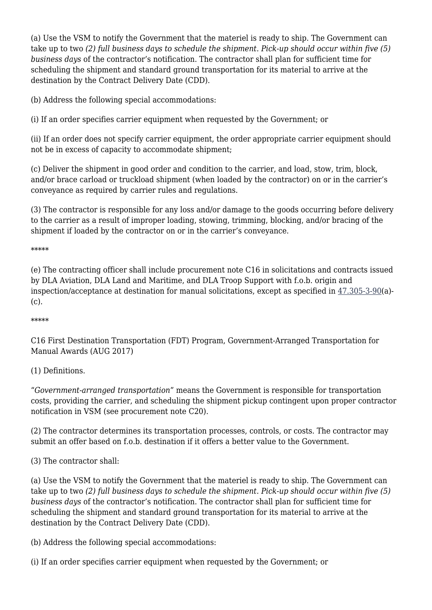(a) Use the VSM to notify the Government that the materiel is ready to ship. The Government can take up to two *(2) full business days to schedule the shipment. Pick-up should occur within five (5) business days* of the contractor's notification. The contractor shall plan for sufficient time for scheduling the shipment and standard ground transportation for its material to arrive at the destination by the Contract Delivery Date (CDD).

(b) Address the following special accommodations:

(i) If an order specifies carrier equipment when requested by the Government; or

(ii) If an order does not specify carrier equipment, the order appropriate carrier equipment should not be in excess of capacity to accommodate shipment;

(c) Deliver the shipment in good order and condition to the carrier, and load, stow, trim, block, and/or brace carload or truckload shipment (when loaded by the contractor) on or in the carrier's conveyance as required by carrier rules and regulations.

(3) The contractor is responsible for any loss and/or damage to the goods occurring before delivery to the carrier as a result of improper loading, stowing, trimming, blocking, and/or bracing of the shipment if loaded by the contractor on or in the carrier's conveyance.

\*\*\*\*\*

(e) The contracting officer shall include procurement note C16 in solicitations and contracts issued by DLA Aviation, DLA Land and Maritime, and DLA Troop Support with f.o.b. origin and inspection/acceptance at destination for manual solicitations, except as specified in [47.305-3-90\(](https://www.acquisition.gov/%5Brp:link:dlad-part-47%5D#P47_305_3_90)a)- (c).

\*\*\*\*\*

C16 First Destination Transportation (FDT) Program, Government-Arranged Transportation for Manual Awards (AUG 2017)

(1) Definitions.

"*Government-arranged transportation*" means the Government is responsible for transportation costs, providing the carrier, and scheduling the shipment pickup contingent upon proper contractor notification in VSM (see procurement note C20).

(2) The contractor determines its transportation processes, controls, or costs. The contractor may submit an offer based on f.o.b. destination if it offers a better value to the Government.

(3) The contractor shall:

(a) Use the VSM to notify the Government that the materiel is ready to ship. The Government can take up to two *(2) full business days to schedule the shipment. Pick-up should occur within five (5) business days* of the contractor's notification. The contractor shall plan for sufficient time for scheduling the shipment and standard ground transportation for its material to arrive at the destination by the Contract Delivery Date (CDD).

(b) Address the following special accommodations:

(i) If an order specifies carrier equipment when requested by the Government; or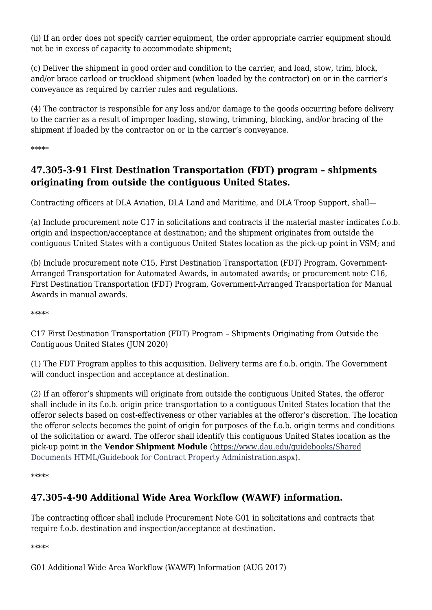(ii) If an order does not specify carrier equipment, the order appropriate carrier equipment should not be in excess of capacity to accommodate shipment;

(c) Deliver the shipment in good order and condition to the carrier, and load, stow, trim, block, and/or brace carload or truckload shipment (when loaded by the contractor) on or in the carrier's conveyance as required by carrier rules and regulations.

(4) The contractor is responsible for any loss and/or damage to the goods occurring before delivery to the carrier as a result of improper loading, stowing, trimming, blocking, and/or bracing of the shipment if loaded by the contractor on or in the carrier's conveyance.

\*\*\*\*\*

## **47.305-3-91 First Destination Transportation (FDT) program – shipments originating from outside the contiguous United States.**

Contracting officers at DLA Aviation, DLA Land and Maritime, and DLA Troop Support, shall—

(a) Include procurement note C17 in solicitations and contracts if the material master indicates f.o.b. origin and inspection/acceptance at destination; and the shipment originates from outside the contiguous United States with a contiguous United States location as the pick-up point in VSM; and

(b) Include procurement note C15, First Destination Transportation (FDT) Program, Government-Arranged Transportation for Automated Awards, in automated awards; or procurement note C16, First Destination Transportation (FDT) Program, Government-Arranged Transportation for Manual Awards in manual awards.

\*\*\*\*\*

C17 First Destination Transportation (FDT) Program – Shipments Originating from Outside the Contiguous United States (JUN 2020)

(1) The FDT Program applies to this acquisition. Delivery terms are f.o.b. origin. The Government will conduct inspection and acceptance at destination.

(2) If an offeror's shipments will originate from outside the contiguous United States, the offeror shall include in its f.o.b. origin price transportation to a contiguous United States location that the offeror selects based on cost-effectiveness or other variables at the offeror's discretion. The location the offeror selects becomes the point of origin for purposes of the f.o.b. origin terms and conditions of the solicitation or award. The offeror shall identify this contiguous United States location as the pick-up point in the **Vendor Shipment Module** [\(https://www.dau.edu/guidebooks/Shared](https://www.dau.edu/guidebooks/Shared%20Documents%20HTML/Guidebook%20for%20Contract%20Property%20Administration.aspx) [Documents HTML/Guidebook for Contract Property Administration.aspx\)](https://www.dau.edu/guidebooks/Shared%20Documents%20HTML/Guidebook%20for%20Contract%20Property%20Administration.aspx).

\*\*\*\*\*

## **47.305-4-90 Additional Wide Area Workflow (WAWF) information.**

The contracting officer shall include Procurement Note G01 in solicitations and contracts that require f.o.b. destination and inspection/acceptance at destination.

\*\*\*\*\*

```
G01 Additional Wide Area Workflow (WAWF) Information (AUG 2017)
```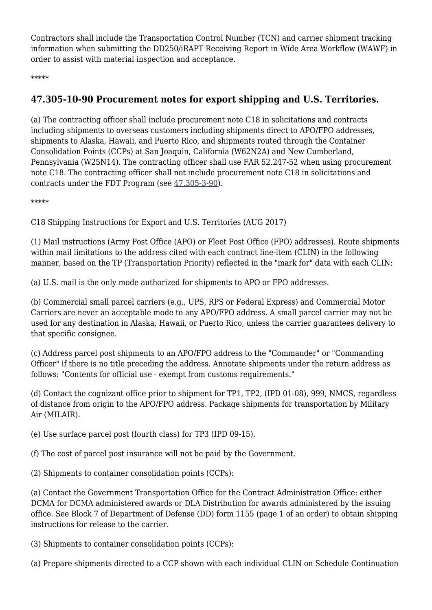Contractors shall include the Transportation Control Number (TCN) and carrier shipment tracking information when submitting the DD250/iRAPT Receiving Report in Wide Area Workflow (WAWF) in order to assist with material inspection and acceptance.

\*\*\*\*\*

## **47.305-10-90 Procurement notes for export shipping and U.S. Territories.**

(a) The contracting officer shall include procurement note C18 in solicitations and contracts including shipments to overseas customers including shipments direct to APO/FPO addresses, shipments to Alaska, Hawaii, and Puerto Rico, and shipments routed through the Container Consolidation Points (CCPs) at San Joaquin, California (W62N2A) and New Cumberland, Pennsylvania (W25N14). The contracting officer shall use FAR 52.247-52 when using procurement note C18. The contracting officer shall not include procurement note C18 in solicitations and contracts under the FDT Program (see [47.305-3-90](https://www.acquisition.gov/%5Brp:link:dlad-part-47%5D#P47_305_3_90)).

\*\*\*\*\*

C18 Shipping Instructions for Export and U.S. Territories (AUG 2017)

(1) Mail instructions (Army Post Office (APO) or Fleet Post Office (FPO) addresses). Route shipments within mail limitations to the address cited with each contract line-item (CLIN) in the following manner, based on the TP (Transportation Priority) reflected in the "mark for" data with each CLIN:

(a) U.S. mail is the only mode authorized for shipments to APO or FPO addresses.

(b) Commercial small parcel carriers (e.g., UPS, RPS or Federal Express) and Commercial Motor Carriers are never an acceptable mode to any APO/FPO address. A small parcel carrier may not be used for any destination in Alaska, Hawaii, or Puerto Rico, unless the carrier guarantees delivery to that specific consignee.

(c) Address parcel post shipments to an APO/FPO address to the "Commander" or "Commanding Officer" if there is no title preceding the address. Annotate shipments under the return address as follows: "Contents for official use - exempt from customs requirements."

(d) Contact the cognizant office prior to shipment for TP1, TP2, (IPD 01-08), 999, NMCS, regardless of distance from origin to the APO/FPO address. Package shipments for transportation by Military Air (MILAIR).

(e) Use surface parcel post (fourth class) for TP3 (IPD 09-15).

(f) The cost of parcel post insurance will not be paid by the Government.

(2) Shipments to container consolidation points (CCPs):

(a) Contact the Government Transportation Office for the Contract Administration Office: either DCMA for DCMA administered awards or DLA Distribution for awards administered by the issuing office. See Block 7 of Department of Defense (DD) form 1155 (page 1 of an order) to obtain shipping instructions for release to the carrier.

(3) Shipments to container consolidation points (CCPs):

(a) Prepare shipments directed to a CCP shown with each individual CLIN on Schedule Continuation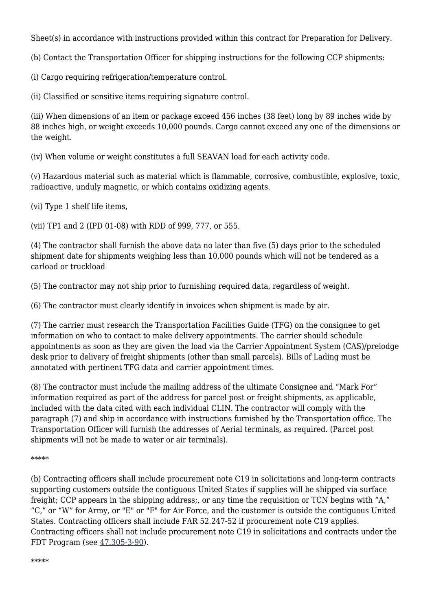Sheet(s) in accordance with instructions provided within this contract for Preparation for Delivery.

(b) Contact the Transportation Officer for shipping instructions for the following CCP shipments:

(i) Cargo requiring refrigeration/temperature control.

(ii) Classified or sensitive items requiring signature control.

(iii) When dimensions of an item or package exceed 456 inches (38 feet) long by 89 inches wide by 88 inches high, or weight exceeds 10,000 pounds. Cargo cannot exceed any one of the dimensions or the weight.

(iv) When volume or weight constitutes a full SEAVAN load for each activity code.

(v) Hazardous material such as material which is flammable, corrosive, combustible, explosive, toxic, radioactive, unduly magnetic, or which contains oxidizing agents.

(vi) Type 1 shelf life items,

(vii) TP1 and 2 (IPD 01-08) with RDD of 999, 777, or 555.

(4) The contractor shall furnish the above data no later than five (5) days prior to the scheduled shipment date for shipments weighing less than 10,000 pounds which will not be tendered as a carload or truckload

(5) The contractor may not ship prior to furnishing required data, regardless of weight.

(6) The contractor must clearly identify in invoices when shipment is made by air.

(7) The carrier must research the Transportation Facilities Guide (TFG) on the consignee to get information on who to contact to make delivery appointments. The carrier should schedule appointments as soon as they are given the load via the Carrier Appointment System (CAS)/prelodge desk prior to delivery of freight shipments (other than small parcels). Bills of Lading must be annotated with pertinent TFG data and carrier appointment times.

(8) The contractor must include the mailing address of the ultimate Consignee and "Mark For" information required as part of the address for parcel post or freight shipments, as applicable, included with the data cited with each individual CLIN. The contractor will comply with the paragraph (7) and ship in accordance with instructions furnished by the Transportation office. The Transportation Officer will furnish the addresses of Aerial terminals, as required. (Parcel post shipments will not be made to water or air terminals).

#### \*\*\*\*\*

(b) Contracting officers shall include procurement note C19 in solicitations and long-term contracts supporting customers outside the contiguous United States if supplies will be shipped via surface freight; CCP appears in the shipping address;, or any time the requisition or TCN begins with "A," "C," or "W" for Army, or "E" or "F" for Air Force, and the customer is outside the contiguous United States. Contracting officers shall include FAR 52.247-52 if procurement note C19 applies. Contracting officers shall not include procurement note C19 in solicitations and contracts under the FDT Program (see [47.305-3-90\)](https://www.acquisition.gov/%5Brp:link:dlad-part-47%5D#P47_305_3_90).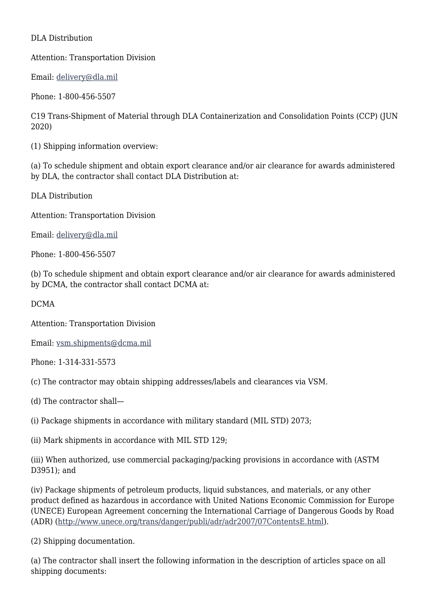#### DLA Distribution

Attention: Transportation Division

Email: [delivery@dla.mil](mailto:delivery@dla.mil)

Phone: 1-800-456-5507

C19 Trans-Shipment of Material through DLA Containerization and Consolidation Points (CCP) (JUN 2020)

(1) Shipping information overview:

(a) To schedule shipment and obtain export clearance and/or air clearance for awards administered by DLA, the contractor shall contact DLA Distribution at:

DLA Distribution

Attention: Transportation Division

Email: [delivery@dla.mil](mailto:delivery@dla.mil)

Phone: 1-800-456-5507

(b) To schedule shipment and obtain export clearance and/or air clearance for awards administered by DCMA, the contractor shall contact DCMA at:

DCMA

Attention: Transportation Division

Email: [vsm.shipments@dcma.mil](mailto:vsm.shipments@dcma.mil)

Phone: 1-314-331-5573

(c) The contractor may obtain shipping addresses/labels and clearances via VSM.

(d) The contractor shall—

(i) Package shipments in accordance with military standard (MIL STD) 2073;

(ii) Mark shipments in accordance with MIL STD 129;

(iii) When authorized, use commercial packaging/packing provisions in accordance with (ASTM D3951); and

(iv) Package shipments of petroleum products, liquid substances, and materials, or any other product defined as hazardous in accordance with United Nations Economic Commission for Europe (UNECE) European Agreement concerning the International Carriage of Dangerous Goods by Road (ADR) (<http://www.unece.org/trans/danger/publi/adr/adr2007/07ContentsE.html>).

(2) Shipping documentation.

(a) The contractor shall insert the following information in the description of articles space on all shipping documents: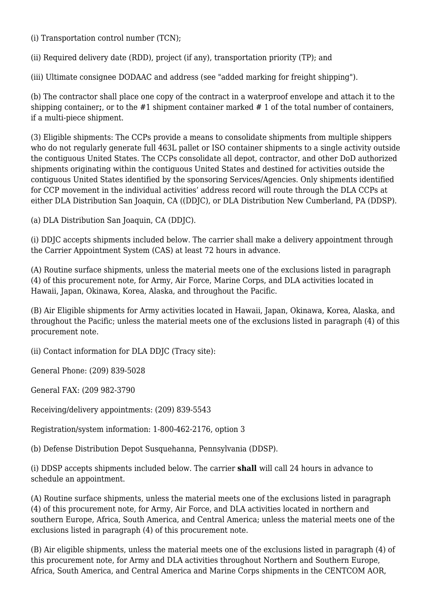(i) Transportation control number (TCN);

(ii) Required delivery date (RDD), project (if any), transportation priority (TP); and

(iii) Ultimate consignee DODAAC and address (see "added marking for freight shipping").

(b) The contractor shall place one copy of the contract in a waterproof envelope and attach it to the shipping container**;**, or to the #1 shipment container marked # 1 of the total number of containers, if a multi-piece shipment.

(3) Eligible shipments: The CCPs provide a means to consolidate shipments from multiple shippers who do not regularly generate full 463L pallet or ISO container shipments to a single activity outside the contiguous United States. The CCPs consolidate all depot, contractor, and other DoD authorized shipments originating within the contiguous United States and destined for activities outside the contiguous United States identified by the sponsoring Services/Agencies. Only shipments identified for CCP movement in the individual activities' address record will route through the DLA CCPs at either DLA Distribution San Joaquin, CA ((DDJC), or DLA Distribution New Cumberland, PA (DDSP).

(a) DLA Distribution San Joaquin, CA (DDJC).

(i) DDJC accepts shipments included below. The carrier shall make a delivery appointment through the Carrier Appointment System (CAS) at least 72 hours in advance.

(A) Routine surface shipments, unless the material meets one of the exclusions listed in paragraph (4) of this procurement note, for Army, Air Force, Marine Corps, and DLA activities located in Hawaii, Japan, Okinawa, Korea, Alaska, and throughout the Pacific.

(B) Air Eligible shipments for Army activities located in Hawaii, Japan, Okinawa, Korea, Alaska, and throughout the Pacific; unless the material meets one of the exclusions listed in paragraph (4) of this procurement note.

(ii) Contact information for DLA DDJC (Tracy site):

General Phone: (209) 839-5028

General FAX: (209 982-3790

Receiving/delivery appointments: (209) 839-5543

Registration/system information: 1-800-462-2176, option 3

(b) Defense Distribution Depot Susquehanna, Pennsylvania (DDSP).

(i) DDSP accepts shipments included below. The carrier **shall** will call 24 hours in advance to schedule an appointment.

(A) Routine surface shipments, unless the material meets one of the exclusions listed in paragraph (4) of this procurement note, for Army, Air Force, and DLA activities located in northern and southern Europe, Africa, South America, and Central America; unless the material meets one of the exclusions listed in paragraph (4) of this procurement note.

(B) Air eligible shipments, unless the material meets one of the exclusions listed in paragraph (4) of this procurement note, for Army and DLA activities throughout Northern and Southern Europe, Africa, South America, and Central America and Marine Corps shipments in the CENTCOM AOR,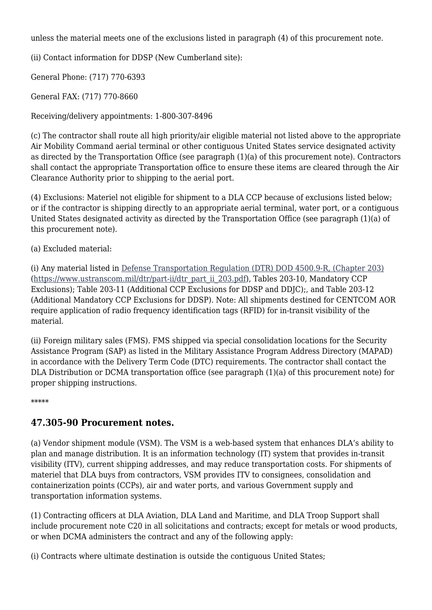unless the material meets one of the exclusions listed in paragraph (4) of this procurement note.

(ii) Contact information for DDSP (New Cumberland site):

General Phone: (717) 770-6393

General FAX: (717) 770-8660

Receiving/delivery appointments: 1-800-307-8496

(c) The contractor shall route all high priority/air eligible material not listed above to the appropriate Air Mobility Command aerial terminal or other contiguous United States service designated activity as directed by the Transportation Office (see paragraph (1)(a) of this procurement note). Contractors shall contact the appropriate Transportation office to ensure these items are cleared through the Air Clearance Authority prior to shipping to the aerial port.

(4) Exclusions: Materiel not eligible for shipment to a DLA CCP because of exclusions listed below; or if the contractor is shipping directly to an appropriate aerial terminal, water port, or a contiguous United States designated activity as directed by the Transportation Office (see paragraph (1)(a) of this procurement note).

(a) Excluded material:

(i) Any material listed in [Defense Transportation Regulation \(DTR\) DOD 4500.9-R, \(Chapter 203\)](https://www.ustranscom.mil/dtr/part-ii/dtr_part_ii_203.pdf) [\(https://www.ustranscom.mil/dtr/part-ii/dtr\\_part\\_ii\\_203.pdf](https://www.ustranscom.mil/dtr/part-ii/dtr_part_ii_203.pdf)), Tables 203-10, Mandatory CCP Exclusions); Table 203-11 (Additional CCP Exclusions for DDSP and DDJC);, and Table 203-12 (Additional Mandatory CCP Exclusions for DDSP). Note: All shipments destined for CENTCOM AOR require application of radio frequency identification tags (RFID) for in-transit visibility of the material.

(ii) Foreign military sales (FMS). FMS shipped via special consolidation locations for the Security Assistance Program (SAP) as listed in the Military Assistance Program Address Directory (MAPAD) in accordance with the Delivery Term Code (DTC) requirements. The contractor shall contact the DLA Distribution or DCMA transportation office (see paragraph (1)(a) of this procurement note) for proper shipping instructions.

\*\*\*\*\*

### **47.305-90 Procurement notes.**

(a) Vendor shipment module (VSM). The VSM is a web-based system that enhances DLA's ability to plan and manage distribution. It is an information technology (IT) system that provides in-transit visibility (ITV), current shipping addresses, and may reduce transportation costs. For shipments of materiel that DLA buys from contractors, VSM provides ITV to consignees, consolidation and containerization points (CCPs), air and water ports, and various Government supply and transportation information systems.

(1) Contracting officers at DLA Aviation, DLA Land and Maritime, and DLA Troop Support shall include procurement note C20 in all solicitations and contracts; except for metals or wood products, or when DCMA administers the contract and any of the following apply:

(i) Contracts where ultimate destination is outside the contiguous United States;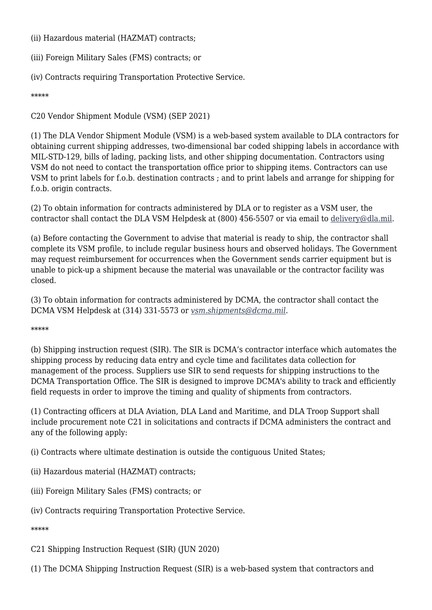(ii) Hazardous material (HAZMAT) contracts;

(iii) Foreign Military Sales (FMS) contracts; or

(iv) Contracts requiring Transportation Protective Service.

\*\*\*\*\*

C20 Vendor Shipment Module (VSM) (SEP 2021)

(1) The DLA Vendor Shipment Module (VSM) is a web-based system available to DLA contractors for obtaining current shipping addresses, two-dimensional bar coded shipping labels in accordance with MIL-STD-129, bills of lading, packing lists, and other shipping documentation. Contractors using VSM do not need to contact the transportation office prior to shipping items. Contractors can use VSM to print labels for f.o.b. destination contracts ; and to print labels and arrange for shipping for f.o.b. origin contracts.

(2) To obtain information for contracts administered by DLA or to register as a VSM user, the contractor shall contact the DLA VSM Helpdesk at (800) 456-5507 or via email to [delivery@dla.mil](mailto:delivery@dla.mil).

(a) Before contacting the Government to advise that material is ready to ship, the contractor shall complete its VSM profile, to include regular business hours and observed holidays. The Government may request reimbursement for occurrences when the Government sends carrier equipment but is unable to pick-up a shipment because the material was unavailable or the contractor facility was closed.

(3) To obtain information for contracts administered by DCMA, the contractor shall contact the DCMA VSM Helpdesk at (314) 331-5573 or *[vsm.shipments@dcma.mil](mailto:vsm.shipments@dcma.mil)*.

\*\*\*\*\*

(b) Shipping instruction request (SIR). The SIR is DCMA's contractor interface which automates the shipping process by reducing data entry and cycle time and facilitates data collection for management of the process. Suppliers use SIR to send requests for shipping instructions to the DCMA Transportation Office. The SIR is designed to improve DCMA's ability to track and efficiently field requests in order to improve the timing and quality of shipments from contractors.

(1) Contracting officers at DLA Aviation, DLA Land and Maritime, and DLA Troop Support shall include procurement note C21 in solicitations and contracts if DCMA administers the contract and any of the following apply:

(i) Contracts where ultimate destination is outside the contiguous United States;

- (ii) Hazardous material (HAZMAT) contracts;
- (iii) Foreign Military Sales (FMS) contracts; or

(iv) Contracts requiring Transportation Protective Service.

#### \*\*\*\*\*

C21 Shipping Instruction Request (SIR) (JUN 2020)

(1) The DCMA Shipping Instruction Request (SIR) is a web-based system that contractors and